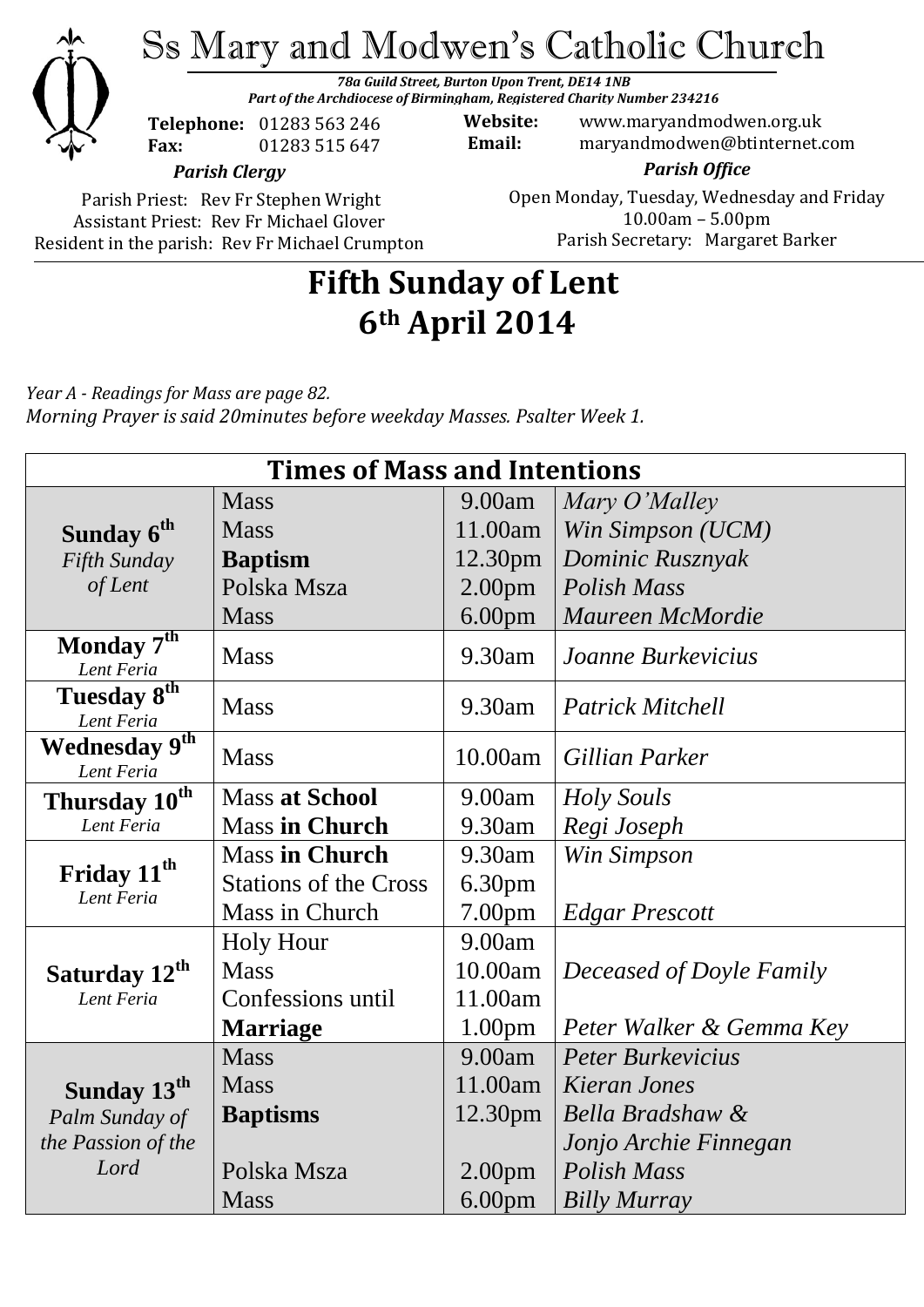

*Part of the Archdiocese of Birmingham, Registered Charity Number 234216*

**Telephone:** 01283 563 246 **Fax:** 01283 515 647

**Website:** www.maryandmodwen.org.uk **Email:** maryandmodwen@btinternet.com

*Parish Clergy*

Parish Priest: Rev Fr Stephen Wright Assistant Priest: Rev Fr Michael Glover Resident in the parish: Rev Fr Michael Crumpton

*Parish Office* Open Monday, Tuesday, Wednesday and Friday 10.00am – 5.00pm Parish Secretary:Margaret Barker

# **Fifth Sunday of Lent 6th April 2014**

*Year A - Readings for Mass are page 82. Morning Prayer is said 20minutes before weekday Masses. Psalter Week 1.*

| <b>Times of Mass and Intentions</b>      |                              |                     |                          |
|------------------------------------------|------------------------------|---------------------|--------------------------|
|                                          | <b>Mass</b>                  | 9.00am              | Mary O'Malley            |
| Sunday 6 <sup>th</sup>                   | <b>Mass</b>                  | 11.00am             | Win Simpson (UCM)        |
| Fifth Sunday                             | <b>Baptism</b>               | 12.30pm             | Dominic Rusznyak         |
| of Lent                                  | Polska Msza                  | 2.00 <sub>pm</sub>  | Polish Mass              |
|                                          | <b>Mass</b>                  | 6.00 <sub>pm</sub>  | Maureen McMordie         |
| Monday $7^{\overline{th}}$<br>Lent Feria | <b>Mass</b>                  | 9.30am              | Joanne Burkevicius       |
| Tuesday 8th<br>Lent Feria                | <b>Mass</b>                  | 9.30am              | <b>Patrick Mitchell</b>  |
| Wednesday 9th<br>Lent Feria              | <b>Mass</b>                  | 10.00am             | Gillian Parker           |
| Thursday 10 <sup>th</sup>                | <b>Mass at School</b>        | 9.00am              | <b>Holy Souls</b>        |
| Lent Feria                               | <b>Mass in Church</b>        | 9.30am              | Regi Joseph              |
| Friday 11 <sup>th</sup><br>Lent Feria    | <b>Mass in Church</b>        | 9.30am              | Win Simpson              |
|                                          | <b>Stations of the Cross</b> | 6.30 <sub>pm</sub>  |                          |
|                                          | Mass in Church               | 7.00 <sub>pm</sub>  | <b>Edgar Prescott</b>    |
|                                          | <b>Holy Hour</b>             | 9.00am              |                          |
| Saturday 12 <sup>th</sup>                | <b>Mass</b>                  | 10.00am             | Deceased of Doyle Family |
| Lent Feria                               | Confessions until            | 11.00am             |                          |
|                                          | <b>Marriage</b>              | 1.00 <sub>pm</sub>  | Peter Walker & Gemma Key |
|                                          | <b>Mass</b>                  | 9.00am              | <b>Peter Burkeyicius</b> |
| Sunday 13 <sup>th</sup>                  | <b>Mass</b>                  | 11.00am             | Kieran Jones             |
| Palm Sunday of                           | <b>Baptisms</b>              | 12.30 <sub>pm</sub> | Bella Bradshaw &         |
| the Passion of the                       |                              |                     | Jonjo Archie Finnegan    |
| Lord                                     | Polska Msza                  | 2.00 <sub>pm</sub>  | <b>Polish Mass</b>       |
|                                          | <b>Mass</b>                  | 6.00 <sub>pm</sub>  | <b>Billy Murray</b>      |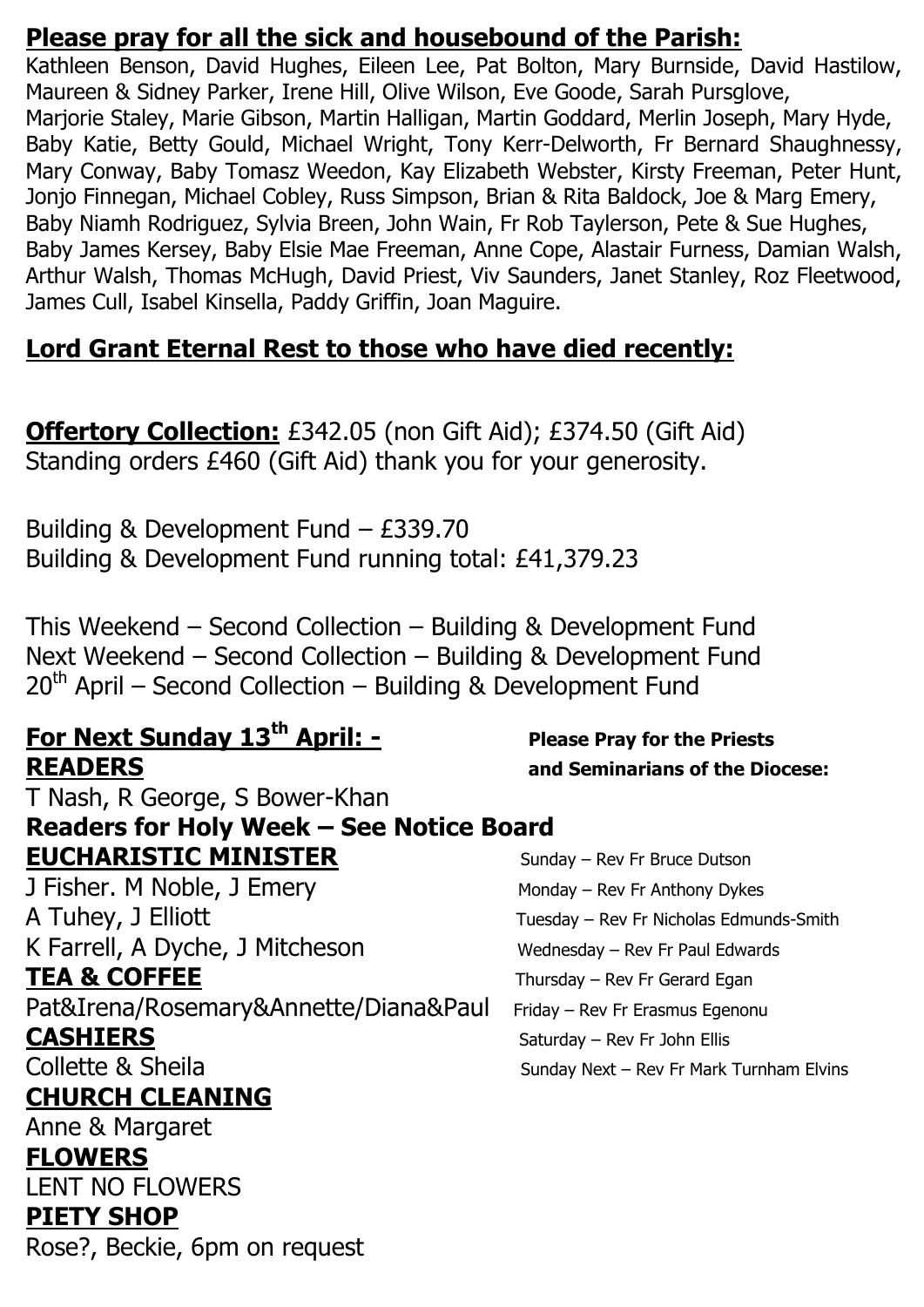## **Please pray for all the sick and housebound of the Parish:**

Kathleen Benson, David Hughes, Eileen Lee, Pat Bolton, Mary Burnside, David Hastilow, Maureen & Sidney Parker, Irene Hill, Olive Wilson, Eve Goode, Sarah Pursglove, Marjorie Staley, Marie Gibson, Martin Halligan, Martin Goddard, Merlin Joseph, Mary Hyde, Baby Katie, Betty Gould, Michael Wright, Tony Kerr-Delworth, Fr Bernard Shaughnessy, Mary Conway, Baby Tomasz Weedon, Kay Elizabeth Webster, Kirsty Freeman, Peter Hunt, Jonjo Finnegan, Michael Cobley, Russ Simpson, Brian & Rita Baldock, Joe & Marg Emery, Baby Niamh Rodriguez, Sylvia Breen, John Wain, Fr Rob Taylerson, Pete & Sue Hughes, Baby James Kersey, Baby Elsie Mae Freeman, Anne Cope, Alastair Furness, Damian Walsh, Arthur Walsh, Thomas McHugh, David Priest, Viv Saunders, Janet Stanley, Roz Fleetwood, James Cull, Isabel Kinsella, Paddy Griffin, Joan Maguire.

## **Lord Grant Eternal Rest to those who have died recently:**

**Offertory Collection:** £342.05 (non Gift Aid); £374.50 (Gift Aid) Standing orders £460 (Gift Aid) thank you for your generosity.

Building & Development Fund – £339.70 Building & Development Fund running total: £41,379.23

This Weekend – Second Collection – Building & Development Fund Next Weekend – Second Collection – Building & Development Fund  $20<sup>th</sup>$  April – Second Collection – Building & Development Fund

## **For Next Sunday 13th April: - Please Pray for the Priests READERS and Seminarians of the Diocese:**

T Nash, R George, S Bower-Khan **Readers for Holy Week – See Notice Board EUCHARISTIC MINISTER** Sunday – Rev Fr Bruce Dutson J Fisher. M Noble, J Emery Monday – Rev Fr Anthony Dykes A Tuhey, J Elliott **Tuesday – Rev Fr Nicholas Edmunds-Smith** K Farrell, A Dyche, J Mitcheson Wednesday – Rev Fr Paul Edwards

Pat&Irena/Rosemary&Annette/Diana&Paul Friday - Rev Fr Erasmus Egenonu

## **CHURCH CLEANING**

Anne & Margaret

### **FLOWERS**

LENT NO FLOWERS

### **PIETY SHOP**

Rose?, Beckie, 6pm on request

TEA & COFFEE Thursday – Rev Fr Gerard Egan **CASHIERS** Saturday – Rev Fr John Ellis Collette & Sheila Sunday Next – Rev Fr Mark Turnham Elvins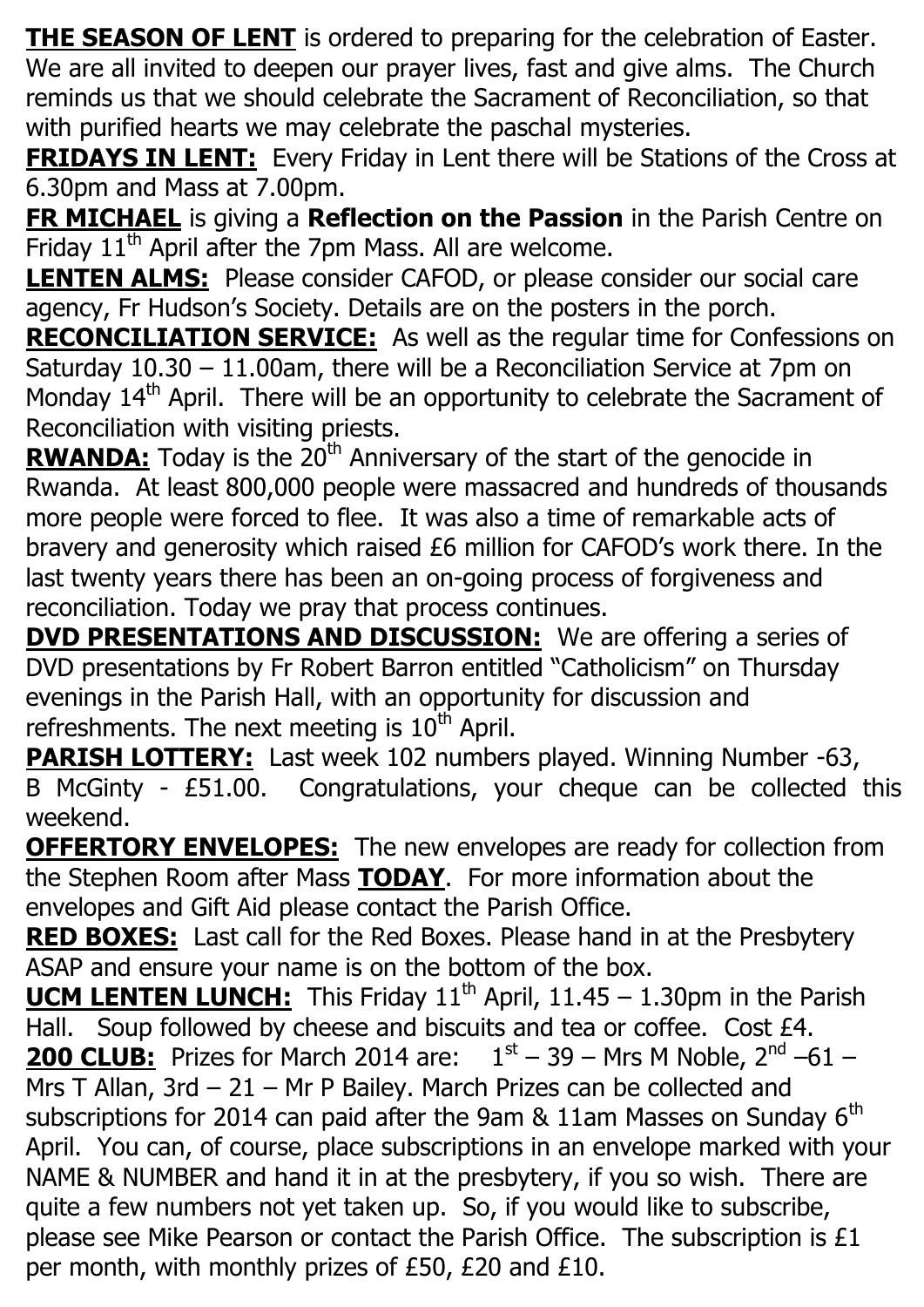**THE SEASON OF LENT** is ordered to preparing for the celebration of Easter. We are all invited to deepen our prayer lives, fast and give alms. The Church reminds us that we should celebrate the Sacrament of Reconciliation, so that with purified hearts we may celebrate the paschal mysteries.

**FRIDAYS IN LENT:** Every Friday in Lent there will be Stations of the Cross at 6.30pm and Mass at 7.00pm.

**FR MICHAEL** is giving a **Reflection on the Passion** in the Parish Centre on Friday  $11<sup>th</sup>$  April after the 7pm Mass. All are welcome.

**LENTEN ALMS:** Please consider CAFOD, or please consider our social care agency, Fr Hudson's Society. Details are on the posters in the porch.

**RECONCILIATION SERVICE:** As well as the regular time for Confessions on Saturday 10.30 – 11.00am, there will be a Reconciliation Service at 7pm on Monday 14<sup>th</sup> April. There will be an opportunity to celebrate the Sacrament of Reconciliation with visiting priests.

**RWANDA:** Today is the 20<sup>th</sup> Anniversary of the start of the genocide in Rwanda. At least 800,000 people were massacred and hundreds of thousands more people were forced to flee. It was also a time of remarkable acts of bravery and generosity which raised £6 million for CAFOD's work there. In the last twenty years there has been an on-going process of forgiveness and reconciliation. Today we pray that process continues.

**DVD PRESENTATIONS AND DISCUSSION:** We are offering a series of DVD presentations by Fr Robert Barron entitled "Catholicism" on Thursday evenings in the Parish Hall, with an opportunity for discussion and refreshments. The next meeting is  $10<sup>th</sup>$  April.

**PARISH LOTTERY:** Last week 102 numbers played. Winning Number -63, B McGinty - £51.00. Congratulations, your cheque can be collected this weekend.

**OFFERTORY ENVELOPES:** The new envelopes are ready for collection from the Stephen Room after Mass **TODAY**. For more information about the envelopes and Gift Aid please contact the Parish Office.

**RED BOXES:** Last call for the Red Boxes. Please hand in at the Presbytery ASAP and ensure your name is on the bottom of the box.

**UCM LENTEN LUNCH:** This Friday 11<sup>th</sup> April, 11.45 – 1.30pm in the Parish Hall. Soup followed by cheese and biscuits and tea or coffee. Cost £4. **200 CLUB:** Prizes for March 2014 are:  $1<sup>st</sup> - 39 - Mrs$  M Noble,  $2<sup>nd</sup> - 61 -$ Mrs T Allan, 3rd - 21 - Mr P Bailey. March Prizes can be collected and subscriptions for 2014 can paid after the 9am  $\&$  11am Masses on Sunday 6<sup>th</sup> April. You can, of course, place subscriptions in an envelope marked with your NAME & NUMBER and hand it in at the presbytery, if you so wish. There are quite a few numbers not yet taken up. So, if you would like to subscribe, please see Mike Pearson or contact the Parish Office. The subscription is £1 per month, with monthly prizes of £50, £20 and £10.